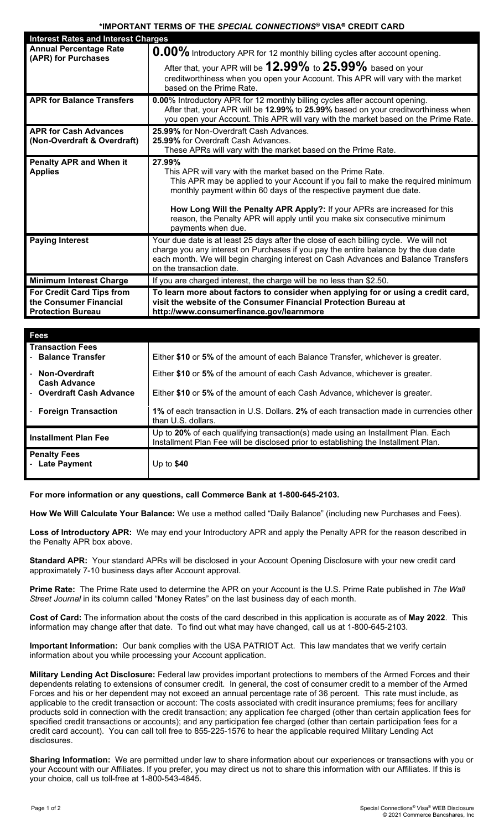## **\*IMPORTANT TERMS OF THE** *SPECIAL CONNECTIONS***® VISA CREDIT CARD**

| <b>Interest Rates and Interest Charges</b>                                      |                                                                                                                                                                                                                                                                                                                                                                                                                 |
|---------------------------------------------------------------------------------|-----------------------------------------------------------------------------------------------------------------------------------------------------------------------------------------------------------------------------------------------------------------------------------------------------------------------------------------------------------------------------------------------------------------|
| <b>Annual Percentage Rate</b><br>(APR) for Purchases                            | 0.00% Introductory APR for 12 monthly billing cycles after account opening.                                                                                                                                                                                                                                                                                                                                     |
|                                                                                 | After that, your APR will be $12.99\%$ to $25.99\%$ based on your<br>creditworthiness when you open your Account. This APR will vary with the market<br>based on the Prime Rate.                                                                                                                                                                                                                                |
| <b>APR for Balance Transfers</b>                                                | 0.00% Introductory APR for 12 monthly billing cycles after account opening.<br>After that, your APR will be 12.99% to 25.99% based on your creditworthiness when<br>you open your Account. This APR will vary with the market based on the Prime Rate.                                                                                                                                                          |
| <b>APR for Cash Advances</b><br>(Non-Overdraft & Overdraft)                     | 25.99% for Non-Overdraft Cash Advances.<br>25.99% for Overdraft Cash Advances.<br>These APRs will vary with the market based on the Prime Rate.                                                                                                                                                                                                                                                                 |
| <b>Penalty APR and When it</b><br><b>Applies</b>                                | 27.99%<br>This APR will vary with the market based on the Prime Rate.<br>This APR may be applied to your Account if you fail to make the required minimum<br>monthly payment within 60 days of the respective payment due date.<br>How Long Will the Penalty APR Apply?: If your APRs are increased for this<br>reason, the Penalty APR will apply until you make six consecutive minimum<br>payments when due. |
| <b>Paying Interest</b>                                                          | Your due date is at least 25 days after the close of each billing cycle. We will not<br>charge you any interest on Purchases if you pay the entire balance by the due date<br>each month. We will begin charging interest on Cash Advances and Balance Transfers<br>on the transaction date.                                                                                                                    |
| <b>Minimum Interest Charge</b>                                                  | If you are charged interest, the charge will be no less than \$2.50.                                                                                                                                                                                                                                                                                                                                            |
| For Credit Card Tips from<br>the Consumer Financial<br><b>Protection Bureau</b> | To learn more about factors to consider when applying for or using a credit card,<br>visit the website of the Consumer Financial Protection Bureau at<br>http://www.consumerfinance.gov/learnmore                                                                                                                                                                                                               |

| <b>Fees</b>                                   |                                                                                                                                                                        |
|-----------------------------------------------|------------------------------------------------------------------------------------------------------------------------------------------------------------------------|
| <b>Transaction Fees</b><br>- Balance Transfer | Either \$10 or 5% of the amount of each Balance Transfer, whichever is greater.                                                                                        |
| Non-Overdraft<br><b>Cash Advance</b>          | Either \$10 or 5% of the amount of each Cash Advance, whichever is greater.                                                                                            |
| - Overdraft Cash Advance                      | Either \$10 or 5% of the amount of each Cash Advance, whichever is greater.                                                                                            |
| <b>Foreign Transaction</b>                    | 1% of each transaction in U.S. Dollars. 2% of each transaction made in currencies other<br>than U.S. dollars.                                                          |
| <b>Installment Plan Fee</b>                   | Up to 20% of each qualifying transaction(s) made using an Installment Plan. Each<br>Installment Plan Fee will be disclosed prior to establishing the Installment Plan. |
| <b>Penalty Fees</b><br>- Late Payment         | Up to $$40$                                                                                                                                                            |

**For more information or any questions, call Commerce Bank at 1-800-645-2103.**

**How We Will Calculate Your Balance:** We use a method called "Daily Balance" (including new Purchases and Fees).

**Loss of Introductory APR:** We may end your Introductory APR and apply the Penalty APR for the reason described in the Penalty APR box above.

**Standard APR:** Your standard APRs will be disclosed in your Account Opening Disclosure with your new credit card approximately 7-10 business days after Account approval.

**Prime Rate:** The Prime Rate used to determine the APR on your Account is the U.S. Prime Rate published in *The Wall Street Journal* in its column called "Money Rates" on the last business day of each month.

**Cost of Card:** The information about the costs of the card described in this application is accurate as of **May 2022**. This information may change after that date. To find out what may have changed, call us at 1-800-645-2103.

**Important Information:** Our bank complies with the USA PATRIOT Act. This law mandates that we verify certain information about you while processing your Account application.

**Military Lending Act Disclosure:** Federal law provides important protections to members of the Armed Forces and their dependents relating to extensions of consumer credit. In general, the cost of consumer credit to a member of the Armed Forces and his or her dependent may not exceed an annual percentage rate of 36 percent. This rate must include, as applicable to the credit transaction or account: The costs associated with credit insurance premiums; fees for ancillary products sold in connection with the credit transaction; any application fee charged (other than certain application fees for specified credit transactions or accounts); and any participation fee charged (other than certain participation fees for a credit card account). You can call toll free to 855-225-1576 to hear the applicable required Military Lending Act disclosures.

**Sharing Information:** We are permitted under law to share information about our experiences or transactions with you or your Account with our Affiliates. If you prefer, you may direct us not to share this information with our Affiliates. If this is your choice, call us toll-free at 1-800-543-4845.